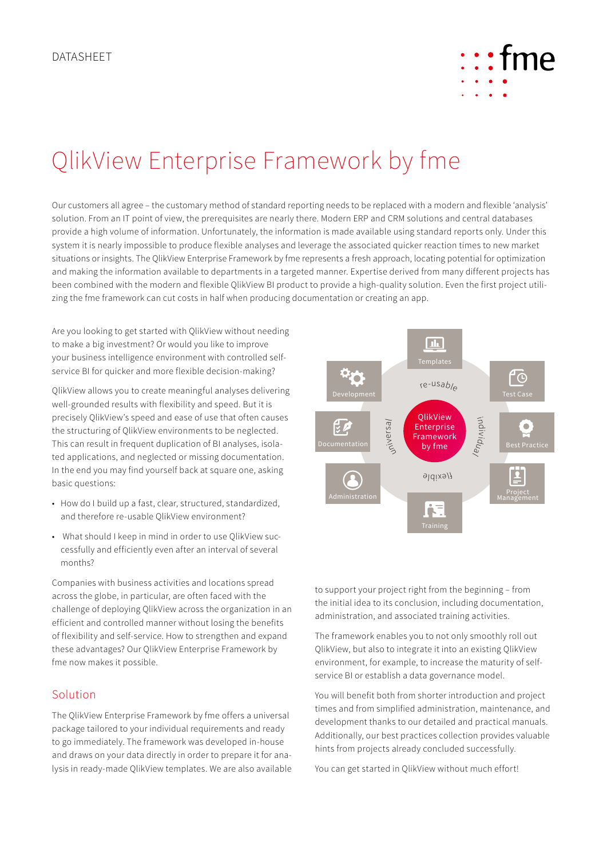

## QlikView Enterprise Framework by fme

Our customers all agree – the customary method of standard reporting needs to be replaced with a modern and flexible 'analysis' solution. From an IT point of view, the prerequisites are nearly there. Modern ERP and CRM solutions and central databases provide a high volume of information. Unfortunately, the information is made available using standard reports only. Under this system it is nearly impossible to produce flexible analyses and leverage the associated quicker reaction times to new market situations or insights. The QlikView Enterprise Framework by fme represents a fresh approach, locating potential for optimization and making the information available to departments in a targeted manner. Expertise derived from many different projects has been combined with the modern and flexible QlikView BI product to provide a high-quality solution. Even the first project utilizing the fme framework can cut costs in half when producing documentation or creating an app.

Are you looking to get started with QlikView without needing to make a big investment? Or would you like to improve your business intelligence environment with controlled selfservice BI for quicker and more flexible decision-making?

QlikView allows you to create meaningful analyses delivering well-grounded results with flexibility and speed. But it is precisely QlikView's speed and ease of use that often causes the structuring of QlikView environments to be neglected. This can result in frequent duplication of BI analyses, isolated applications, and neglected or missing documentation. In the end you may find yourself back at square one, asking basic questions:

- How do I build up a fast, clear, structured, standardized, and therefore re-usable QlikView environment?
- What should I keep in mind in order to use QlikView successfully and efficiently even after an interval of several months?

Companies with business activities and locations spread across the globe, in particular, are often faced with the challenge of deploying QlikView across the organization in an efficient and controlled manner without losing the benefits of flexibility and self-service. How to strengthen and expand these advantages? Our QlikView Enterprise Framework by fme now makes it possible.

## Solution

The QlikView Enterprise Framework by fme offers a universal package tailored to your individual requirements and ready to go immediately. The framework was developed in-house and draws on your data directly in order to prepare it for analysis in ready-made QlikView templates. We are also available



to support your project right from the beginning – from the initial idea to its conclusion, including documentation, administration, and associated training activities.

The framework enables you to not only smoothly roll out QlikView, but also to integrate it into an existing QlikView environment, for example, to increase the maturity of selfservice BI or establish a data governance model.

You will benefit both from shorter introduction and project times and from simplified administration, maintenance, and development thanks to our detailed and practical manuals. Additionally, our best practices collection provides valuable hints from projects already concluded successfully.

You can get started in QlikView without much effort!